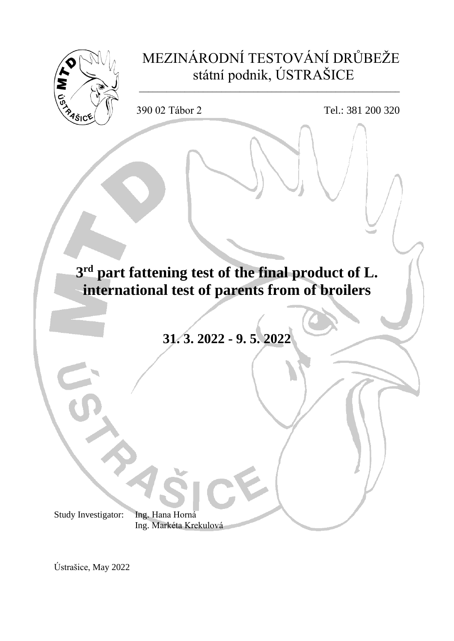

Ústrašice, May 2022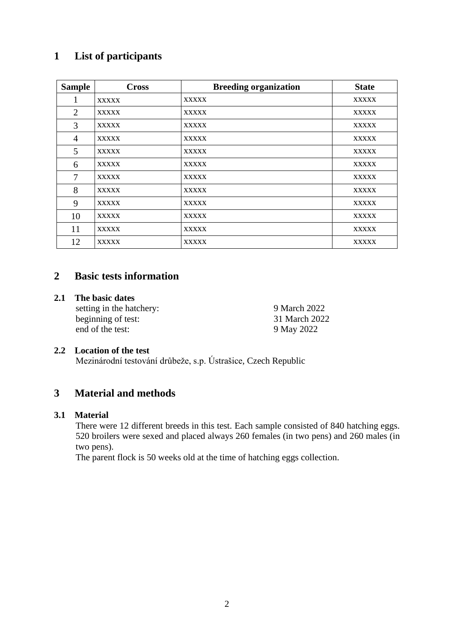## **1 List of participants**

| <b>Sample</b>  | <b>Cross</b> | <b>Breeding organization</b> | <b>State</b> |
|----------------|--------------|------------------------------|--------------|
| 1              | <b>XXXXX</b> | <b>XXXXX</b>                 | <b>XXXXX</b> |
| $\overline{2}$ | <b>XXXXX</b> | <b>XXXXX</b>                 | <b>XXXXX</b> |
| 3              | <b>XXXXX</b> | <b>XXXXX</b>                 | <b>XXXXX</b> |
| $\overline{4}$ | <b>XXXXX</b> | <b>XXXXX</b>                 | <b>XXXXX</b> |
| 5              | <b>XXXXX</b> | <b>XXXXX</b>                 | <b>XXXXX</b> |
| 6              | <b>XXXXX</b> | <b>XXXXX</b>                 | <b>XXXXX</b> |
| $\overline{7}$ | <b>XXXXX</b> | <b>XXXXX</b>                 | <b>XXXXX</b> |
| 8              | <b>XXXXX</b> | <b>XXXXX</b>                 | <b>XXXXX</b> |
| 9              | <b>XXXXX</b> | <b>XXXXX</b>                 | <b>XXXXX</b> |
| 10             | <b>XXXXX</b> | <b>XXXXX</b>                 | <b>XXXXX</b> |
| 11             | <b>XXXXX</b> | <b>XXXXX</b>                 | <b>XXXXX</b> |
| 12             | <b>XXXXX</b> | <b>XXXXX</b>                 | <b>XXXXX</b> |

## **2 Basic tests information**

### **2.1 The basic dates**

setting in the hatchery: 9 March 2022 beginning of test: 31 March 2022 end of the test: 9 May 2022

## **2.2 Location of the test**

Mezinárodní testování drůbeže, s.p. Ústrašice, Czech Republic

## **3 Material and methods**

### **3.1 Material**

There were 12 different breeds in this test. Each sample consisted of 840 hatching eggs. 520 broilers were sexed and placed always 260 females (in two pens) and 260 males (in two pens).

The parent flock is 50 weeks old at the time of hatching eggs collection.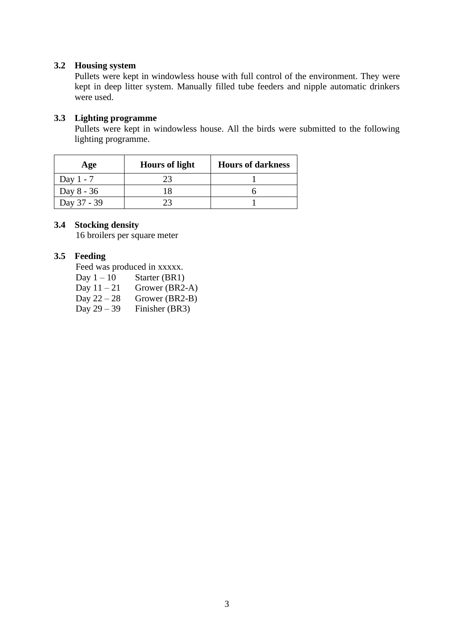## **3.2 Housing system**

Pullets were kept in windowless house with full control of the environment. They were kept in deep litter system. Manually filled tube feeders and nipple automatic drinkers were used.

## **3.3 Lighting programme**

Pullets were kept in windowless house. All the birds were submitted to the following lighting programme.

| Age         | <b>Hours of light</b> | <b>Hours of darkness</b> |
|-------------|-----------------------|--------------------------|
| Day $1 - 7$ |                       |                          |
| Day 8 - 36  |                       |                          |
| Day 37 - 39 |                       |                          |

### **3.4 Stocking density**

16 broilers per square meter

## **3.5 Feeding**

Feed was produced in xxxxx.

- Day  $1 10$  Starter (BR1)
- 
- Day  $11 21$  Grower (BR2-A)<br>Day  $22 28$  Grower (BR2-B) Day  $22 - 28$  Grower (BR2-B)<br>Day  $29 - 39$  Finisher (BR3)
- Finisher (BR3)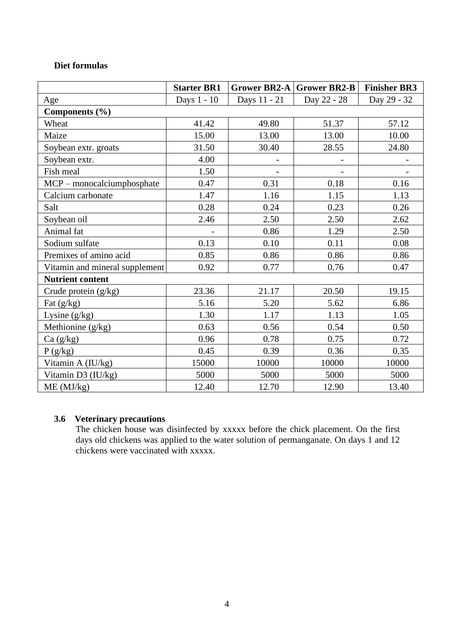## **Diet formulas**

|                                | <b>Starter BR1</b> | Grower BR2-A | <b>Grower BR2-B</b> | <b>Finisher BR3</b> |
|--------------------------------|--------------------|--------------|---------------------|---------------------|
| Age                            | Days 1 - 10        | Days 11 - 21 | Day 22 - 28         | Day 29 - 32         |
| Components (%)                 |                    |              |                     |                     |
| Wheat                          | 41.42              | 49.80        | 51.37               | 57.12               |
| Maize                          | 15.00              | 13.00        | 13.00               | 10.00               |
| Soybean extr. groats           | 31.50              | 30.40        | 28.55               | 24.80               |
| Soybean extr.                  | 4.00               |              |                     |                     |
| Fish meal                      | 1.50               |              |                     |                     |
| $MCP$ – monocalciumphosphate   | 0.47               | 0.31         | 0.18                | 0.16                |
| Calcium carbonate              | 1.47               | 1.16         | 1.15                | 1.13                |
| Salt                           | 0.28               | 0.24         | 0.23                | 0.26                |
| Soybean oil                    | 2.46               | 2.50         | 2.50                | 2.62                |
| Animal fat                     |                    | 0.86         | 1.29                | 2.50                |
| Sodium sulfate                 | 0.13               | 0.10         | 0.11                | 0.08                |
| Premixes of amino acid         | 0.85               | 0.86         | 0.86                | 0.86                |
| Vitamin and mineral supplement | 0.92               | 0.77         | 0.76                | 0.47                |
| <b>Nutrient content</b>        |                    |              |                     |                     |
| Crude protein $(g/kg)$         | 23.36              | 21.17        | 20.50               | 19.15               |
| Fat $(g/kg)$                   | 5.16               | 5.20         | 5.62                | 6.86                |
| Lysine $(g/kg)$                | 1.30               | 1.17         | 1.13                | 1.05                |
| Methionine (g/kg)              | 0.63               | 0.56         | 0.54                | 0.50                |
| Ca (g/kg)                      | 0.96               | 0.78         | 0.75                | 0.72                |
| P(g/kg)                        | 0.45               | 0.39         | 0.36                | 0.35                |
| Vitamin A (IU/kg)              | 15000              | 10000        | 10000               | 10000               |
| Vitamin D3 (IU/kg)             | 5000               | 5000         | 5000                | 5000                |
| ME (MJ/kg)                     | 12.40              | 12.70        | 12.90               | 13.40               |

## **3.6 Veterinary precautions**

The chicken house was disinfected by xxxxx before the chick placement. On the first days old chickens was applied to the water solution of permanganate. On days 1 and 12 chickens were vaccinated with xxxxx.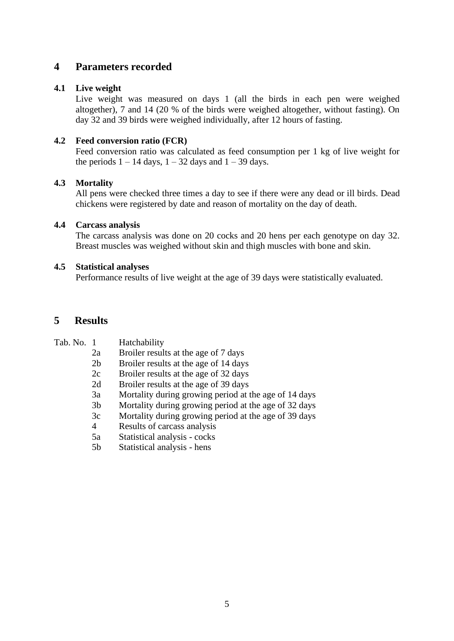## **4 Parameters recorded**

## **4.1 Live weight**

Live weight was measured on days 1 (all the birds in each pen were weighed altogether), 7 and 14 (20 % of the birds were weighed altogether, without fasting). On day 32 and 39 birds were weighed individually, after 12 hours of fasting.

## **4.2 Feed conversion ratio (FCR)**

Feed conversion ratio was calculated as feed consumption per 1 kg of live weight for the periods  $1 - 14$  days,  $1 - 32$  days and  $1 - 39$  days.

## **4.3 Mortality**

All pens were checked three times a day to see if there were any dead or ill birds. Dead chickens were registered by date and reason of mortality on the day of death.

## **4.4 Carcass analysis**

The carcass analysis was done on 20 cocks and 20 hens per each genotype on day 32. Breast muscles was weighed without skin and thigh muscles with bone and skin.

### **4.5 Statistical analyses**

Performance results of live weight at the age of 39 days were statistically evaluated.

## **5 Results**

| Tab. No. 1 |                | Hatchability                                          |
|------------|----------------|-------------------------------------------------------|
|            | 2a             | Broiler results at the age of 7 days                  |
|            | 2 <sub>b</sub> | Broiler results at the age of 14 days                 |
|            | 2c             | Broiler results at the age of 32 days                 |
|            | 2d             | Broiler results at the age of 39 days                 |
|            | 3a             | Mortality during growing period at the age of 14 days |
|            | 3 <sub>b</sub> | Mortality during growing period at the age of 32 days |
|            | 3c             | Mortality during growing period at the age of 39 days |
|            | 4              | Results of carcass analysis                           |
|            | 5a             | Statistical analysis - cocks                          |
|            | 5 <sub>b</sub> | Statistical analysis - hens                           |
|            |                |                                                       |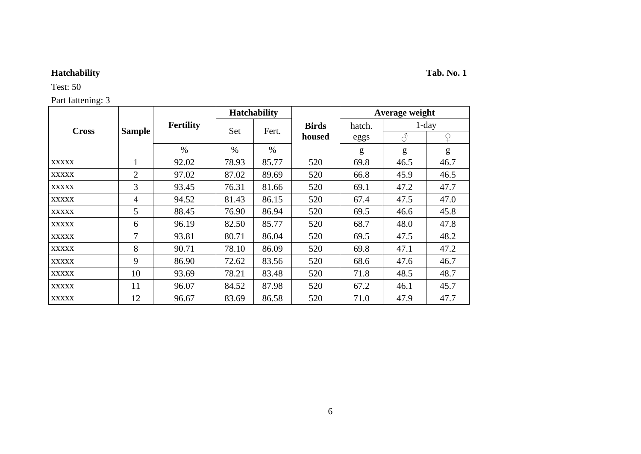Test: 50

Part fattening: 3

|              |                |                  |       | <b>Hatchability</b> |              |        | Average weight |          |
|--------------|----------------|------------------|-------|---------------------|--------------|--------|----------------|----------|
| <b>Cross</b> |                | <b>Fertility</b> | Set   | Fert.               | <b>Birds</b> | hatch. |                | $1$ -day |
|              | <b>Sample</b>  |                  |       |                     | housed       | eggs   | $\mathcal{S}$  | ¥        |
|              |                | $\%$             | $\%$  | $\%$                |              | g      | g              | g        |
| <b>XXXXX</b> |                | 92.02            | 78.93 | 85.77               | 520          | 69.8   | 46.5           | 46.7     |
| <b>XXXXX</b> | $\overline{2}$ | 97.02            | 87.02 | 89.69               | 520          | 66.8   | 45.9           | 46.5     |
| <b>XXXXX</b> | 3              | 93.45            | 76.31 | 81.66               | 520          | 69.1   | 47.2           | 47.7     |
| <b>XXXXX</b> | 4              | 94.52            | 81.43 | 86.15               | 520          | 67.4   | 47.5           | 47.0     |
| <b>XXXXX</b> | 5              | 88.45            | 76.90 | 86.94               | 520          | 69.5   | 46.6           | 45.8     |
| <b>XXXXX</b> | 6              | 96.19            | 82.50 | 85.77               | 520          | 68.7   | 48.0           | 47.8     |
| <b>XXXXX</b> | 7              | 93.81            | 80.71 | 86.04               | 520          | 69.5   | 47.5           | 48.2     |
| <b>XXXXX</b> | 8              | 90.71            | 78.10 | 86.09               | 520          | 69.8   | 47.1           | 47.2     |
| <b>XXXXX</b> | 9              | 86.90            | 72.62 | 83.56               | 520          | 68.6   | 47.6           | 46.7     |
| <b>XXXXX</b> | 10             | 93.69            | 78.21 | 83.48               | 520          | 71.8   | 48.5           | 48.7     |
| <b>XXXXX</b> | 11             | 96.07            | 84.52 | 87.98               | 520          | 67.2   | 46.1           | 45.7     |
| <b>XXXXX</b> | 12             | 96.67            | 83.69 | 86.58               | 520          | 71.0   | 47.9           | 47.7     |

# **Hatchability Tab. No. 1**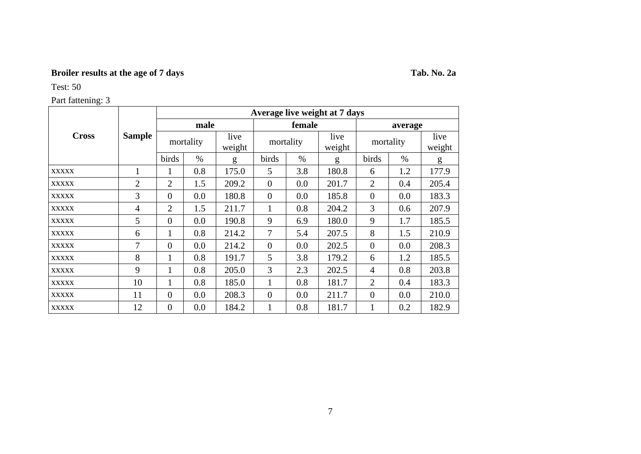# **Broiler results at the age of 7 days Tab. No. 2a**

Test: 50

|              |                |                  |           |                |                |               | Average live weight at 7 days |                |         |                |
|--------------|----------------|------------------|-----------|----------------|----------------|---------------|-------------------------------|----------------|---------|----------------|
|              |                |                  | male      |                |                | female        |                               |                | average |                |
| <b>Cross</b> | <b>Sample</b>  |                  | mortality | live<br>weight | mortality      |               | live<br>weight                | mortality      |         | live<br>weight |
|              |                | birds            | $\%$      | g              | birds          | $\frac{0}{0}$ | g                             | birds          | $\%$    | g              |
| <b>XXXXX</b> | $\mathbf{1}$   |                  | 0.8       | 175.0          | 5              | 3.8           | 180.8                         | 6              | 1.2     | 177.9          |
| <b>XXXXX</b> | $\overline{2}$ | $\overline{2}$   | 1.5       | 209.2          | $\theta$       | 0.0           | 201.7                         | $\overline{2}$ | 0.4     | 205.4          |
| <b>XXXXX</b> | $\overline{3}$ | $\overline{0}$   | 0.0       | 180.8          | $\overline{0}$ | 0.0           | 185.8                         | $\theta$       | 0.0     | 183.3          |
| <b>XXXXX</b> | 4              | 2                | 1.5       | 211.7          | 1              | 0.8           | 204.2                         | $\overline{3}$ | 0.6     | 207.9          |
| <b>XXXXX</b> | 5              | $\overline{0}$   | 0.0       | 190.8          | 9              | 6.9           | 180.0                         | 9              | 1.7     | 185.5          |
| <b>XXXXX</b> | 6              | $\mathbf{I}$     | 0.8       | 214.2          | 7              | 5.4           | 207.5                         | 8              | 1.5     | 210.9          |
| <b>XXXXX</b> | 7              | $\overline{0}$   | 0.0       | 214.2          | $\overline{0}$ | 0.0           | 202.5                         | $\theta$       | 0.0     | 208.3          |
| <b>XXXXX</b> | 8              |                  | 0.8       | 191.7          | 5              | 3.8           | 179.2                         | 6              | 1.2     | 185.5          |
| <b>XXXXX</b> | 9              |                  | 0.8       | 205.0          | 3              | 2.3           | 202.5                         | $\overline{4}$ | 0.8     | 203.8          |
| <b>XXXXX</b> | 10             | $\mathbf{I}$     | 0.8       | 185.0          | 1              | 0.8           | 181.7                         | $\overline{2}$ | 0.4     | 183.3          |
| <b>XXXXX</b> | 11             | $\overline{0}$   | 0.0       | 208.3          | $\overline{0}$ | 0.0           | 211.7                         | $\theta$       | 0.0     | 210.0          |
| <b>XXXXX</b> | 12             | $\boldsymbol{0}$ | 0.0       | 184.2          | 1              | 0.8           | 181.7                         |                | 0.2     | 182.9          |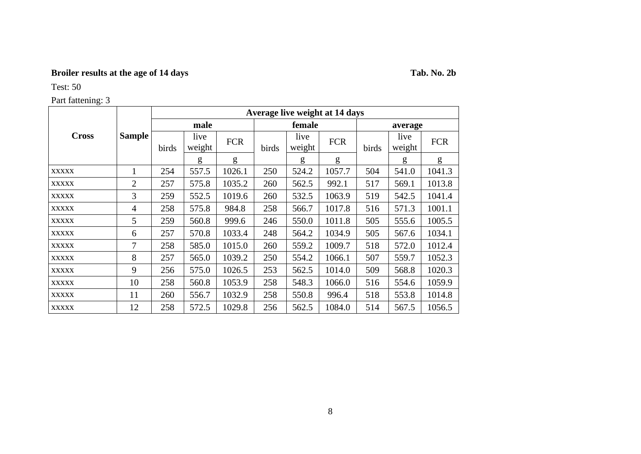# **Broiler results at the age of 14 days Tab. No. 2b**

Test: 50

|              |                |                        |                |            |                |                 | Average live weight at 14 days |        |                |            |       |        |
|--------------|----------------|------------------------|----------------|------------|----------------|-----------------|--------------------------------|--------|----------------|------------|-------|--------|
|              |                |                        | male           |            |                | female          |                                |        | average        |            |       |        |
| <b>Cross</b> | <b>Sample</b>  | birds                  | live<br>weight | <b>FCR</b> | birds          | live<br>weight  | <b>FCR</b>                     | birds  | live<br>weight | <b>FCR</b> |       |        |
|              |                |                        | g              | g          |                | g               | g                              |        | g              | g          |       |        |
| <b>XXXXX</b> | 1              | 254                    | 557.5          | 1026.1     | 250            | 524.2           | 1057.7                         | 504    | 541.0          | 1041.3     |       |        |
| <b>XXXXX</b> | $\overline{2}$ | 257                    | 575.8          | 1035.2     | 260            | 562.5           | 992.1                          | 517    | 569.1          | 1013.8     |       |        |
| <b>XXXXX</b> | 3              | 259                    | 552.5          | 1019.6     | 260            | 532.5           |                                | 1063.9 |                | 519        | 542.5 | 1041.4 |
| <b>XXXXX</b> | 4              | 258                    | 575.8          | 984.8      | 258            | 1017.8<br>566.7 |                                | 516    | 571.3          | 1001.1     |       |        |
| <b>XXXXX</b> | 5              | 259                    | 560.8          | 999.6      | 246            | 550.0           | 1011.8                         | 505    | 555.6          | 1005.5     |       |        |
| <b>XXXXX</b> | 6              | 257                    | 570.8          | 1033.4     | 248            | 564.2           | 1034.9                         | 505    | 567.6          | 1034.1     |       |        |
| <b>XXXXX</b> | 7              | 258                    | 585.0          | 1015.0     | 260            | 559.2           | 1009.7                         | 518    | 572.0          | 1012.4     |       |        |
| <b>XXXXX</b> | 8              | 257                    | 565.0          | 1039.2     | 250            | 554.2           | 1066.1                         | 507    | 559.7          | 1052.3     |       |        |
| <b>XXXXX</b> | 9              | 256                    | 575.0          | 1026.5     | 253            | 562.5           | 1014.0                         | 509    | 568.8          | 1020.3     |       |        |
| <b>XXXXX</b> | 10             | 258<br>560.8<br>1053.9 |                | 258        | 548.3          | 1066.0          | 516                            | 554.6  | 1059.9         |            |       |        |
| <b>XXXXX</b> | 11             | 1032.9<br>260<br>556.7 |                | 258        | 550.8<br>996.4 |                 | 518                            | 553.8  | 1014.8         |            |       |        |
| <b>XXXXX</b> | 12             | 258                    | 572.5          | 1029.8     | 256            | 562.5           | 1084.0                         | 514    | 567.5          | 1056.5     |       |        |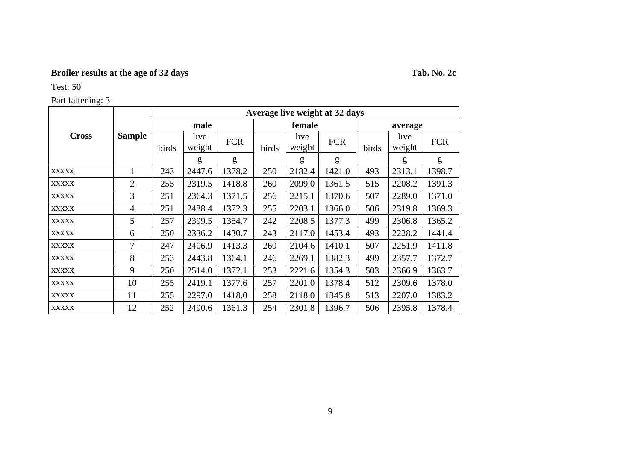# **Broiler results at the age of 32 days Tab. No. 2c**

Test: 50

| <b>Cross</b><br><b>XXXXX</b><br><b>XXXXX</b><br><b>XXXXX</b><br><b>XXXXX</b><br><b>XXXXX</b><br><b>XXXXX</b><br><b>XXXXX</b><br><b>XXXXX</b> |                |                                                    |                |            |       |                  | Average live weight at 32 days |        |                |            |
|----------------------------------------------------------------------------------------------------------------------------------------------|----------------|----------------------------------------------------|----------------|------------|-------|------------------|--------------------------------|--------|----------------|------------|
|                                                                                                                                              |                |                                                    | male           |            |       | female           |                                |        | average        |            |
|                                                                                                                                              | <b>Sample</b>  | birds                                              | live<br>weight | <b>FCR</b> | birds | live<br>weight   | <b>FCR</b>                     | birds  | live<br>weight | <b>FCR</b> |
|                                                                                                                                              |                |                                                    | g              | g          |       | g                | g                              |        | g              | g          |
|                                                                                                                                              | 1              | 243                                                | 2447.6         | 1378.2     | 250   | 2182.4           | 1421.0                         | 493    | 2313.1         | 1398.7     |
|                                                                                                                                              | $\overline{2}$ | 255                                                | 2319.5         | 1418.8     | 260   | 1361.5           | 515                            | 2208.2 | 1391.3         |            |
|                                                                                                                                              | 3              | 251                                                | 2364.3         | 1371.5     | 256   | 2215.1           | 1370.6                         | 507    | 2289.0         | 1371.0     |
|                                                                                                                                              | 4              | 251                                                | 2438.4         | 1372.3     | 255   | 2203.1<br>1366.0 |                                | 506    | 2319.8         | 1369.3     |
|                                                                                                                                              | 5              | 257                                                | 2399.5         | 1354.7     | 242   | 2208.5           | 1377.3                         | 499    | 2306.8         | 1365.2     |
|                                                                                                                                              | 6              | 250                                                | 2336.2         | 1430.7     | 243   | 2117.0           | 1453.4                         | 493    | 2228.2         | 1441.4     |
|                                                                                                                                              | 7              | 247                                                | 2406.9         | 1413.3     | 260   | 2104.6           | 1410.1                         | 507    | 2251.9         | 1411.8     |
|                                                                                                                                              | 8              | 253                                                | 2443.8         | 1364.1     | 246   | 2269.1           | 1382.3                         | 499    | 2357.7         | 1372.7     |
| <b>XXXXX</b>                                                                                                                                 | 9              | 250                                                | 2514.0         | 1372.1     | 253   | 2221.6           | 1354.3                         | 503    | 2366.9         | 1363.7     |
| <b>XXXXX</b>                                                                                                                                 | 10             | 255<br>2419.1<br>1377.6<br>257<br>2201.0           |                | 1378.4     | 512   | 2309.6           | 1378.0                         |        |                |            |
| <b>XXXXX</b>                                                                                                                                 | 11             | 2297.0<br>2118.0<br>255<br>1418.0<br>258<br>1345.8 |                |            |       |                  |                                | 513    | 2207.0         | 1383.2     |
| <b>XXXXX</b>                                                                                                                                 | 12             | 252                                                | 2490.6         | 1361.3     | 254   | 2301.8           | 1396.7                         | 506    | 2395.8         | 1378.4     |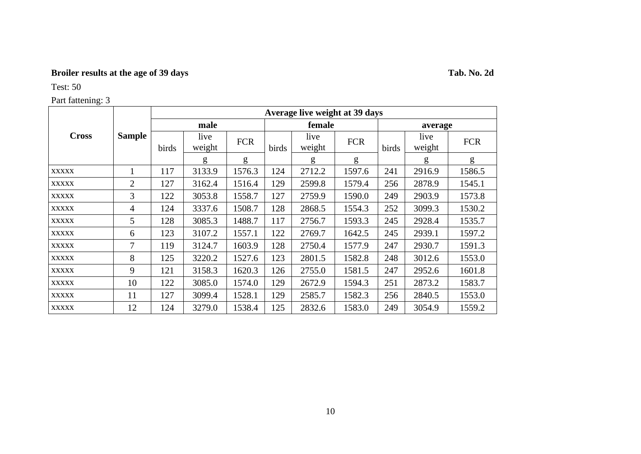# **Broiler results at the age of 39 days Tab. No. 2d**

Test: 50

|              |                |       |                         | Average live weight at 39 days |        |                |            |        |                |            |  |  |  |  |
|--------------|----------------|-------|-------------------------|--------------------------------|--------|----------------|------------|--------|----------------|------------|--|--|--|--|
|              |                |       | male                    |                                |        | female         |            |        | average        |            |  |  |  |  |
| <b>Cross</b> | <b>Sample</b>  | birds | live<br>weight          | <b>FCR</b>                     | birds  | live<br>weight | <b>FCR</b> | birds  | live<br>weight | <b>FCR</b> |  |  |  |  |
|              |                |       | g                       | g                              |        | g              | g          |        | g              | g          |  |  |  |  |
| <b>XXXXX</b> |                | 117   | 3133.9                  | 1576.3                         | 124    | 2712.2         | 1597.6     | 241    | 2916.9         | 1586.5     |  |  |  |  |
| <b>XXXXX</b> | 2              | 127   | 3162.4                  | 1516.4                         | 129    | 2599.8         | 1579.4     | 256    | 2878.9         | 1545.1     |  |  |  |  |
| <b>XXXXX</b> | $\overline{3}$ | 122   | 3053.8                  | 1558.7                         | 127    | 2759.9         | 1590.0     | 249    | 2903.9         | 1573.8     |  |  |  |  |
| <b>XXXXX</b> | 4              | 124   | 3337.6                  | 1508.7                         | 128    | 2868.5         | 1554.3     | 252    | 3099.3         | 1530.2     |  |  |  |  |
| <b>XXXXX</b> | 5 <sup>5</sup> | 128   | 3085.3                  | 1488.7                         | 117    | 2756.7         | 1593.3     | 245    | 2928.4         | 1535.7     |  |  |  |  |
| <b>XXXXX</b> | 6              | 123   | 3107.2                  | 1557.1                         | 122    | 2769.7         | 1642.5     | 245    | 2939.1         | 1597.2     |  |  |  |  |
| <b>XXXXX</b> | $\tau$         | 119   | 3124.7                  | 1603.9                         | 128    | 2750.4         | 1577.9     | 247    | 2930.7         | 1591.3     |  |  |  |  |
| <b>XXXXX</b> | 8              | 125   | 3220.2                  | 1527.6                         | 123    | 2801.5         | 1582.8     | 248    | 3012.6         | 1553.0     |  |  |  |  |
| <b>XXXXX</b> | 9              | 121   | 3158.3                  | 1620.3                         | 126    | 2755.0         | 1581.5     | 247    | 2952.6         | 1601.8     |  |  |  |  |
| <b>XXXXX</b> | 10             | 122   | 1574.0<br>129<br>3085.0 |                                | 2672.9 | 1594.3         | 251        | 2873.2 | 1583.7         |            |  |  |  |  |
| <b>XXXXX</b> | 11             | 127   | 3099.4                  | 1528.1                         | 129    | 2585.7         | 1582.3     | 256    | 2840.5         | 1553.0     |  |  |  |  |
| <b>XXXXX</b> | 12             | 124   | 3279.0                  | 1538.4                         | 125    | 2832.6         | 1583.0     | 249    | 3054.9         | 1559.2     |  |  |  |  |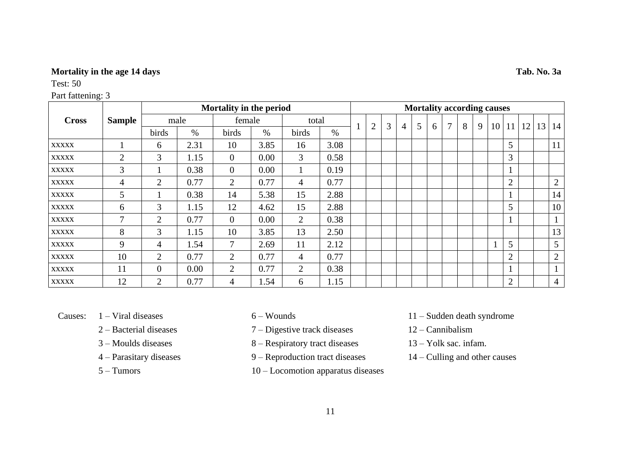## **Mortality in the age 14 days Tab. No. 3a**

Test: 50

|              |                |                |      | Mortality in the period |      |                |      |   |   |                |   |   |        | <b>Mortality according causes</b> |   |                 |                |    |                |
|--------------|----------------|----------------|------|-------------------------|------|----------------|------|---|---|----------------|---|---|--------|-----------------------------------|---|-----------------|----------------|----|----------------|
| <b>Cross</b> | <b>Sample</b>  |                | male | female                  |      | total          |      |   | 3 |                |   |   | $\tau$ | 8                                 |   |                 |                |    |                |
|              |                | birds          | $\%$ | birds                   | $\%$ | birds          | $\%$ | 2 |   | $\overline{4}$ | 5 | 6 |        |                                   | 9 | 10 <sup>1</sup> | 11             | 12 | 13   14        |
| <b>XXXXX</b> |                | 6              | 2.31 | 10                      | 3.85 | 16             | 3.08 |   |   |                |   |   |        |                                   |   |                 | 5              |    | 11             |
| <b>XXXXX</b> | $\overline{2}$ | 3              | 1.15 | $\overline{0}$          | 0.00 | 3              | 0.58 |   |   |                |   |   |        |                                   |   |                 | 3              |    |                |
| <b>XXXXX</b> | 3              |                | 0.38 | $\mathbf{0}$            | 0.00 |                | 0.19 |   |   |                |   |   |        |                                   |   |                 |                |    |                |
| <b>XXXXX</b> | 4              | 2              | 0.77 | 2                       | 0.77 | $\overline{4}$ | 0.77 |   |   |                |   |   |        |                                   |   |                 | $\overline{2}$ |    | $\overline{2}$ |
| <b>XXXXX</b> | 5              |                | 0.38 | 14                      | 5.38 | 15             | 2.88 |   |   |                |   |   |        |                                   |   |                 |                |    | 14             |
| <b>XXXXX</b> | 6              | $\overline{3}$ | 1.15 | 12                      | 4.62 | 15             | 2.88 |   |   |                |   |   |        |                                   |   |                 | 5              |    | 10             |
| <b>XXXXX</b> | $\mathcal{I}$  | $\overline{2}$ | 0.77 | $\overline{0}$          | 0.00 | $\overline{2}$ | 0.38 |   |   |                |   |   |        |                                   |   |                 |                |    |                |
| <b>XXXXX</b> | 8              | 3              | 1.15 | 10                      | 3.85 | 13             | 2.50 |   |   |                |   |   |        |                                   |   |                 |                |    | 13             |
| <b>XXXXX</b> | 9              | 4              | 1.54 | 7                       | 2.69 | 11             | 2.12 |   |   |                |   |   |        |                                   |   |                 | $5^{\circ}$    |    | 5              |
| <b>XXXXX</b> | 10             | 2              | 0.77 | 2                       | 0.77 | $\overline{4}$ | 0.77 |   |   |                |   |   |        |                                   |   |                 | $\overline{2}$ |    | $\overline{2}$ |
| <b>XXXXX</b> | 11             | $\overline{0}$ | 0.00 | $\overline{2}$          | 0.77 | 2              | 0.38 |   |   |                |   |   |        |                                   |   |                 |                |    |                |
| <b>XXXXX</b> | 12             | $\overline{2}$ | 0.77 | 4                       | 1.54 | 6              | 1.15 |   |   |                |   |   |        |                                   |   |                 | $\overline{2}$ |    | 4              |

- 
- 
- 
- 
- 
- 2 Bacterial diseases 7 Digestive track diseases 12 Cannibalism
- 3 Moulds diseases 8 Respiratory tract diseases 13 Yolk sac. infam.
- 4 Parasitary diseases 9 Reproduction tract diseases 14 Culling and other causes
- 5 Tumors 10 Locomotion apparatus diseases
- Causes: 1 Viral diseases 6 Wounds 11 Sudden death syndrome
	-
	-
	-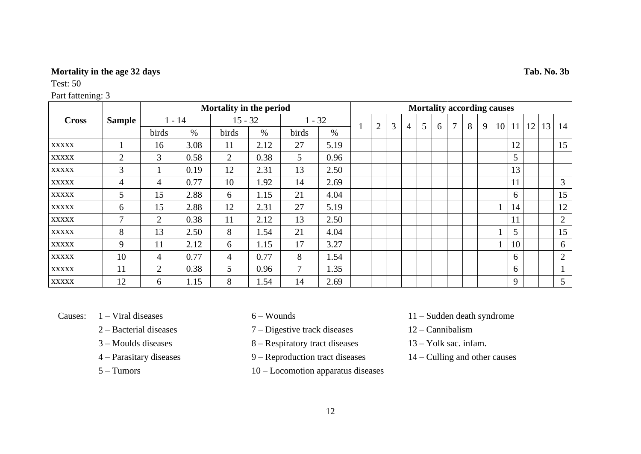## **Mortality in the age 32 days Tab. No. 3b**

Test: 50

|              |                |                |      | Mortality in the period |      |          |      | <b>Mortality according causes</b> |                |   |   |   |   |   |   |   |    |    |                 |    |                |
|--------------|----------------|----------------|------|-------------------------|------|----------|------|-----------------------------------|----------------|---|---|---|---|---|---|---|----|----|-----------------|----|----------------|
| <b>Cross</b> | <b>Sample</b>  | $1 - 14$       |      | $15 - 32$               |      | $1 - 32$ |      |                                   |                |   |   |   |   | 7 |   |   |    |    |                 |    |                |
|              |                | birds          | $\%$ | birds                   | $\%$ | birds    | $\%$ |                                   | $\overline{2}$ | 3 | 4 | 5 | 6 |   | 8 | 9 | 10 | 11 | 12 <sup>1</sup> | 13 | 14             |
| <b>XXXXX</b> |                | 16             | 3.08 | 11                      | 2.12 | 27       | 5.19 |                                   |                |   |   |   |   |   |   |   |    | 12 |                 |    | 15             |
| <b>XXXXX</b> | $\overline{2}$ | 3              | 0.58 | $\overline{2}$          | 0.38 | 5        | 0.96 |                                   |                |   |   |   |   |   |   |   |    | 5  |                 |    |                |
| <b>XXXXX</b> | 3              |                | 0.19 | 12                      | 2.31 | 13       | 2.50 |                                   |                |   |   |   |   |   |   |   |    | 13 |                 |    |                |
| <b>XXXXX</b> | $\overline{4}$ | 4              | 0.77 | 10                      | 1.92 | 14       | 2.69 |                                   |                |   |   |   |   |   |   |   |    | 11 |                 |    | 3              |
| <b>XXXXX</b> | 5              | 15             | 2.88 | 6                       | 1.15 | 21       | 4.04 |                                   |                |   |   |   |   |   |   |   |    | 6  |                 |    | 15             |
| <b>XXXXX</b> | 6              | 15             | 2.88 | 12                      | 2.31 | 27       | 5.19 |                                   |                |   |   |   |   |   |   |   |    | 14 |                 |    | 12             |
| <b>XXXXX</b> | 7              | $\overline{2}$ | 0.38 | 11                      | 2.12 | 13       | 2.50 |                                   |                |   |   |   |   |   |   |   |    | 11 |                 |    | $\overline{2}$ |
| <b>XXXXX</b> | 8              | 13             | 2.50 | 8                       | 1.54 | 21       | 4.04 |                                   |                |   |   |   |   |   |   |   |    | 5  |                 |    | 15             |
| <b>XXXXX</b> | 9              | 11             | 2.12 | 6                       | 1.15 | 17       | 3.27 |                                   |                |   |   |   |   |   |   |   |    | 10 |                 |    | 6              |
| <b>XXXXX</b> | 10             | 4              | 0.77 | $\overline{4}$          | 0.77 | 8        | 1.54 |                                   |                |   |   |   |   |   |   |   |    | 6  |                 |    | 2              |
| <b>XXXXX</b> | 11             | 2              | 0.38 | $\mathfrak{S}$          | 0.96 | 7        | 1.35 |                                   |                |   |   |   |   |   |   |   |    | 6  |                 |    |                |
| <b>XXXXX</b> | 12             | 6              | 1.15 | 8                       | 1.54 | 14       | 2.69 |                                   |                |   |   |   |   |   |   |   |    | 9  |                 |    | 5 <sup>5</sup> |

- 
- 
- 
- 
- 
- 2 Bacterial diseases 7 Digestive track diseases 12 Cannibalism
- 3 Moulds diseases 8 Respiratory tract diseases 13 Yolk sac. infam.
- 4 Parasitary diseases 9 Reproduction tract diseases 14 Culling and other causes
- 5 Tumors 10 Locomotion apparatus diseases
- Causes: 1 Viral diseases 6 Wounds 11 Sudden death syndrome
	-
	-
	-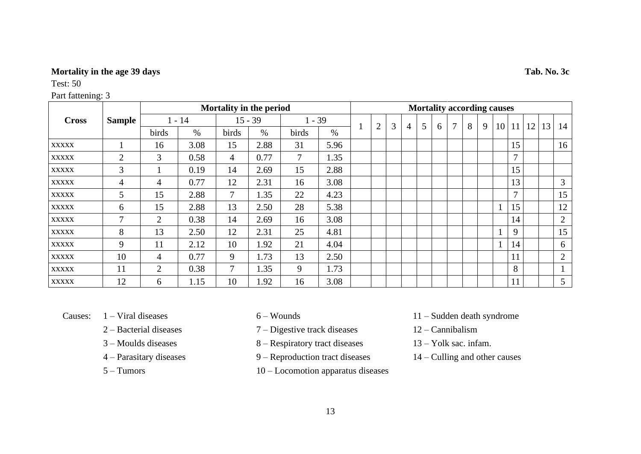## **Mortality in the age 39 days Tab. No. 3c**

#### Test: 50

|              |                |                |      | Mortality in the period |           |          |      |                |   |   |   |   |   |   |   | <b>Mortality according causes</b> |               |    |    |                |
|--------------|----------------|----------------|------|-------------------------|-----------|----------|------|----------------|---|---|---|---|---|---|---|-----------------------------------|---------------|----|----|----------------|
| <b>Cross</b> | <b>Sample</b>  | $1 - 14$       |      |                         | $15 - 39$ | $1 - 39$ |      |                | 3 |   |   |   | 7 | 8 |   |                                   |               |    |    |                |
|              |                | birds          | $\%$ | birds                   | $\%$      | birds    | $\%$ | $\overline{2}$ |   | 4 | 5 | 6 |   |   | 9 | 10                                | 11            | 12 | 13 | 14             |
| <b>XXXXX</b> |                | 16             | 3.08 | 15                      | 2.88      | 31       | 5.96 |                |   |   |   |   |   |   |   |                                   | 15            |    |    | 16             |
| <b>XXXXX</b> | $\overline{2}$ | 3              | 0.58 | 4                       | 0.77      | 7        | 1.35 |                |   |   |   |   |   |   |   |                                   | $\tau$        |    |    |                |
| <b>XXXXX</b> | $\overline{3}$ |                | 0.19 | 14                      | 2.69      | 15       | 2.88 |                |   |   |   |   |   |   |   |                                   | 15            |    |    |                |
| <b>XXXXX</b> | $\overline{4}$ | 4              | 0.77 | 12                      | 2.31      | 16       | 3.08 |                |   |   |   |   |   |   |   |                                   | 13            |    |    | 3              |
| <b>XXXXX</b> | 5              | 15             | 2.88 | $\tau$                  | 1.35      | 22       | 4.23 |                |   |   |   |   |   |   |   |                                   | $\mathcal{I}$ |    |    | 15             |
| <b>XXXXX</b> | 6              | 15             | 2.88 | 13                      | 2.50      | 28       | 5.38 |                |   |   |   |   |   |   |   |                                   | 15            |    |    | 12             |
| <b>XXXXX</b> | 7              | 2              | 0.38 | 14                      | 2.69      | 16       | 3.08 |                |   |   |   |   |   |   |   |                                   | 14            |    |    | $\overline{2}$ |
| <b>XXXXX</b> | 8              | 13             | 2.50 | 12                      | 2.31      | 25       | 4.81 |                |   |   |   |   |   |   |   |                                   | 9             |    |    | 15             |
| <b>XXXXX</b> | 9              | 11             | 2.12 | 10                      | 1.92      | 21       | 4.04 |                |   |   |   |   |   |   |   |                                   | 14            |    |    | 6              |
| <b>XXXXX</b> | 10             | $\overline{4}$ | 0.77 | 9                       | 1.73      | 13       | 2.50 |                |   |   |   |   |   |   |   |                                   | 11            |    |    | 2              |
| <b>XXXXX</b> | 11             | 2              | 0.38 | $\overline{7}$          | 1.35      | 9        | 1.73 |                |   |   |   |   |   |   |   |                                   | 8             |    |    |                |
| <b>XXXXX</b> | 12             | 6              | 1.15 | 10                      | 1.92      | 16       | 3.08 |                |   |   |   |   |   |   |   |                                   | 11            |    |    | 5 <sup>5</sup> |

- 
- 
- 
- 
- 
- 2 Bacterial diseases 7 Digestive track diseases 12 Cannibalism
- 3 Moulds diseases 8 Respiratory tract diseases 13 Yolk sac. infam.
- 4 Parasitary diseases 9 Reproduction tract diseases 14 Culling and other causes
- 5 Tumors 10 Locomotion apparatus diseases
- Causes: 1 Viral diseases 6 Wounds 11 Sudden death syndrome
	-
	-
	-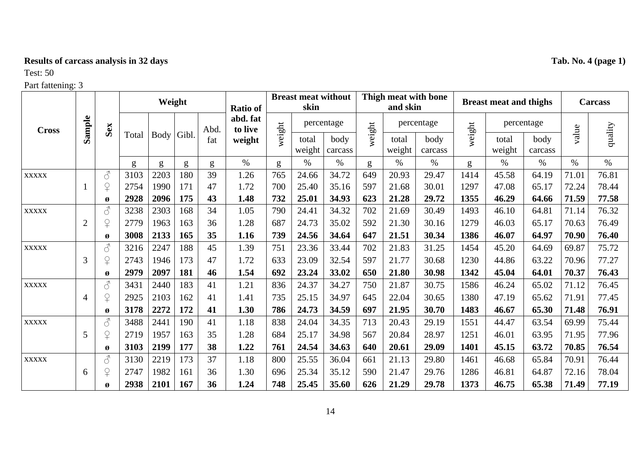# **Results of carcass analysis in 32 days Tab. No. 4 (page 1)**

# Test: 50

| <b>Cross</b> |                |                                                                                                                                             |       |      | Weight |             | <b>Ratio of</b>     | <b>Breast meat without</b><br>skin |                 |                 | Thigh meat with bone<br>and skin |                 |                 | <b>Breast meat and thighs</b> |                 |                 | <b>Carcass</b> |         |
|--------------|----------------|---------------------------------------------------------------------------------------------------------------------------------------------|-------|------|--------|-------------|---------------------|------------------------------------|-----------------|-----------------|----------------------------------|-----------------|-----------------|-------------------------------|-----------------|-----------------|----------------|---------|
|              | Sample         | Sex                                                                                                                                         | Total |      |        | Abd.<br>fat | abd. fat<br>to live |                                    |                 | percentage      |                                  |                 | percentage      |                               |                 | percentage      |                |         |
|              |                |                                                                                                                                             |       | Body | Gibl.  |             | weight              | weight                             | total<br>weight | body<br>carcass | weight                           | total<br>weight | body<br>carcass | weight                        | total<br>weight | body<br>carcass | value          | quality |
|              |                |                                                                                                                                             | g     | g    | g      | g           | $\%$                | g                                  | $\%$            | $\%$            | g                                | $\%$            | $\%$            | g                             | $\%$            | $\%$            | $\%$           | $\%$    |
| <b>XXXXX</b> |                | $\mathcal{S}$                                                                                                                               | 3103  | 2203 | 180    | 39          | 1.26                | 765                                | 24.66           | 34.72           | 649                              | 20.93           | 29.47           | 1414                          | 45.58           | 64.19           | 71.01          | 76.81   |
|              |                | $\mathsf{P}$                                                                                                                                | 2754  | 1990 | 171    | 47          | 1.72                | 700                                | 25.40           | 35.16           | 597                              | 21.68           | 30.01           | 1297                          | 47.08           | 65.17           | 72.24          | 78.44   |
|              |                | Ø                                                                                                                                           | 2928  | 2096 | 175    | 43          | 1.48                | 732                                | 25.01           | 34.93           | 623                              | 21.28           | 29.72           | 1355                          | 46.29           | 64.66           | 71.59          | 77.58   |
| <b>XXXXX</b> |                | $\vec{\mathcal{S}}$                                                                                                                         | 3238  | 2303 | 168    | 34          | 1.05                | 790                                | 24.41           | 34.32           | 702                              | 21.69           | 30.49           | 1493                          | 46.10           | 64.81           | 71.14          | 76.32   |
|              | $\overline{2}$ | $\overline{P}$                                                                                                                              | 2779  | 1963 | 163    | 36          | 1.28                | 687                                | 24.73           | 35.02           | 592                              | 21.30           | 30.16           | 1279                          | 46.03           | 65.17           | 70.63          | 76.49   |
|              |                | Ø                                                                                                                                           | 3008  | 2133 | 165    | 35          | 1.16                | 739                                | 24.56           | 34.64           | 647                              | 21.51           | 30.34           | 1386                          | 46.07           | 64.97           | 70.90          | 76.40   |
| <b>XXXXX</b> |                | $\mathcal{S}$                                                                                                                               | 3216  | 2247 | 188    | 45          | 1.39                | 751                                | 23.36           | 33.44           | 702                              | 21.83           | 31.25           | 1454                          | 45.20           | 64.69           | 69.87          | 75.72   |
|              | 3              | $\overline{P}$                                                                                                                              | 2743  | 1946 | 173    | 47          | 1.72                | 633                                | 23.09           | 32.54           | 597                              | 21.77           | 30.68           | 1230                          | 44.86           | 63.22           | 70.96          | 77.27   |
|              |                | Ø                                                                                                                                           | 2979  | 2097 | 181    | 46          | 1.54                | 692                                | 23.24           | 33.02           | 650                              | 21.80           | 30.98           | 1342                          | 45.04           | 64.01           | 70.37          | 76.43   |
| <b>XXXXX</b> |                | $\mathcal{S}% _{M_{1},M_{2}}^{\ast }=\mathcal{S}_{M_{1},M_{2}}^{\ast }=\mathcal{S}_{M_{1},M_{2}}^{\ast }=\mathcal{S}_{M_{1},M_{2}}^{\ast }$ | 3431  | 2440 | 183    | 41          | 1.21                | 836                                | 24.37           | 34.27           | 750                              | 21.87           | 30.75           | 1586                          | 46.24           | 65.02           | 71.12          | 76.45   |
|              | 4              | $\overline{P}$                                                                                                                              | 2925  | 2103 | 162    | 41          | 1.41                | 735                                | 25.15           | 34.97           | 645                              | 22.04           | 30.65           | 1380                          | 47.19           | 65.62           | 71.91          | 77.45   |
|              |                | Ø                                                                                                                                           | 3178  | 2272 | 172    | 41          | 1.30                | 786                                | 24.73           | 34.59           | 697                              | 21.95           | 30.70           | 1483                          | 46.67           | 65.30           | 71.48          | 76.91   |
| <b>XXXXX</b> |                | $\vec{\mathcal{S}}$                                                                                                                         | 3488  | 2441 | 190    | 41          | 1.18                | 838                                | 24.04           | 34.35           | 713                              | 20.43           | 29.19           | 1551                          | 44.47           | 63.54           | 69.99          | 75.44   |
|              | 5              | $\overline{P}$                                                                                                                              | 2719  | 1957 | 163    | 35          | 1.28                | 684                                | 25.17           | 34.98           | 567                              | 20.84           | 28.97           | 1251                          | 46.01           | 63.95           | 71.95          | 77.96   |
|              |                | Ø                                                                                                                                           | 3103  | 2199 | 177    | 38          | 1.22                | 761                                | 24.54           | 34.63           | 640                              | 20.61           | 29.09           | 1401                          | 45.15           | 63.72           | 70.85          | 76.54   |
| <b>XXXXX</b> |                | $\mathcal{S}$                                                                                                                               | 3130  | 2219 | 173    | 37          | 1.18                | 800                                | 25.55           | 36.04           | 661                              | 21.13           | 29.80           | 1461                          | 46.68           | 65.84           | 70.91          | 76.44   |
|              | 6              | $\overline{P}$                                                                                                                              | 2747  | 1982 | 161    | 36          | 1.30                | 696                                | 25.34           | 35.12           | 590                              | 21.47           | 29.76           | 1286                          | 46.81           | 64.87           | 72.16          | 78.04   |
|              |                | Ø                                                                                                                                           | 2938  | 2101 | 167    | 36          | 1.24                | 748                                | 25.45           | 35.60           | 626                              | 21.29           | 29.78           | 1373                          | 46.75           | 65.38           | 71.49          | 77.19   |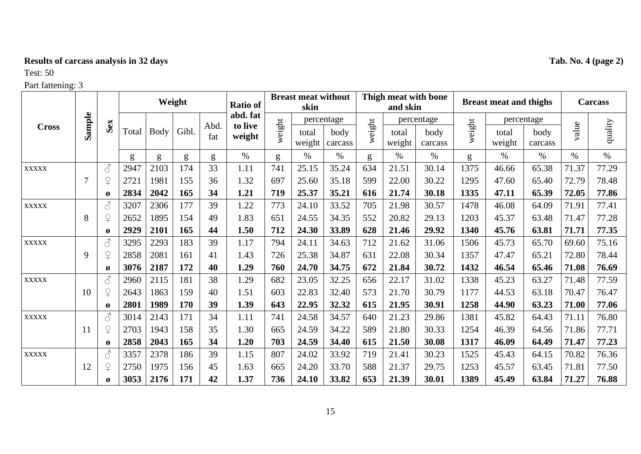# **Results of carcass analysis in 32 days Tab. No. 4 (page 2)**

# Test: 50

|              |                |                       | Weight |      |       |             | <b>Ratio of</b>   | <b>Breast meat without</b><br>skin |                 |                 | Thigh meat with bone<br>and skin |                 |                 | <b>Breast meat and thighs</b> |                 |                 | <b>Carcass</b> |         |
|--------------|----------------|-----------------------|--------|------|-------|-------------|-------------------|------------------------------------|-----------------|-----------------|----------------------------------|-----------------|-----------------|-------------------------------|-----------------|-----------------|----------------|---------|
| <b>Cross</b> |                |                       |        |      |       |             | abd. fat          |                                    |                 | percentage      |                                  | percentage      |                 |                               | percentage      |                 |                |         |
|              | Sample         | Sex                   | Total  | Body | Gibl. | Abd.<br>fat | to live<br>weight | weight                             | total<br>weight | body<br>carcass | weight                           | total<br>weight | body<br>carcass | weight                        | total<br>weight | body<br>carcass | value          | quality |
|              |                |                       | g      | g    | g     | g           | $\%$              | g                                  | $\%$            | $\%$            | g                                | $\%$            | $\%$            | g                             | $\%$            | $\%$            | $\%$           | $\%$    |
| <b>XXXXX</b> |                | $\mathcal{L}$         | 2947   | 2103 | 174   | 33          | 1.11              | 741                                | 25.15           | 35.24           | 634                              | 21.51           | 30.14           | 1375                          | 46.66           | 65.38           | 71.37          | 77.29   |
|              | $\overline{7}$ | $\overline{P}$        | 2721   | 1981 | 155   | 36          | 1.32              | 697                                | 25.60           | 35.18           | 599                              | 22.00           | 30.22           | 1295                          | 47.60           | 65.40           | 72.79          | 78.48   |
|              |                | $\boldsymbol{\alpha}$ | 2834   | 2042 | 165   | 34          | 1.21              | 719                                | 25.37           | 35.21           | 616                              | 21.74           | 30.18           | 1335                          | 47.11           | 65.39           | 72.05          | 77.86   |
| <b>XXXXX</b> |                | $\mathcal{S}$         | 3207   | 2306 | 177   | 39          | 1.22              | 773                                | 24.10           | 33.52           | 705                              | 21.98           | 30.57           | 1478                          | 46.08           | 64.09           | 71.91          | 77.41   |
|              | 8              | $\overline{P}$        | 2652   | 1895 | 154   | 49          | 1.83              | 651                                | 24.55           | 34.35           | 552                              | 20.82           | 29.13           | 1203                          | 45.37           | 63.48           | 71.47          | 77.28   |
|              |                | Ø                     | 2929   | 2101 | 165   | 44          | 1.50              | 712                                | 24.30           | 33.89           | 628                              | 21.46           | 29.92           | 1340                          | 45.76           | 63.81           | 71.71          | 77.35   |
| <b>XXXXX</b> |                | $\mathcal{S}$         | 3295   | 2293 | 183   | 39          | 1.17              | 794                                | 24.11           | 34.63           | 712                              | 21.62           | 31.06           | 1506                          | 45.73           | 65.70           | 69.60          | 75.16   |
|              | 9              | $\overline{P}$        | 2858   | 2081 | 161   | 41          | 1.43              | 726                                | 25.38           | 34.87           | 631                              | 22.08           | 30.34           | 1357                          | 47.47           | 65.21           | 72.80          | 78.44   |
|              |                | Ø                     | 3076   | 2187 | 172   | 40          | 1.29              | 760                                | 24.70           | 34.75           | 672                              | 21.84           | 30.72           | 1432                          | 46.54           | 65.46           | 71.08          | 76.69   |
| <b>XXXXX</b> |                | 3                     | 2960   | 2115 | 181   | 38          | 1.29              | 682                                | 23.05           | 32.25           | 656                              | 22.17           | 31.02           | 1338                          | 45.23           | 63.27           | 71.48          | 77.59   |
|              | <sup>10</sup>  | $\overline{P}$        | 2643   | 1863 | 159   | 40          | 1.51              | 603                                | 22.83           | 32.40           | 573                              | 21.70           | 30.79           | 1177                          | 44.53           | 63.18           | 70.47          | 76.47   |
|              |                | Ø                     | 2801   | 1989 | 170   | 39          | 1.39              | 643                                | 22.95           | 32.32           | 615                              | 21.95           | 30.91           | 1258                          | 44.90           | 63.23           | 71.00          | 77.06   |
| <b>XXXXX</b> |                | $\mathcal{S}$         | 3014   | 2143 | 171   | 34          | 1.11              | 741                                | 24.58           | 34.57           | 640                              | 21.23           | 29.86           | 1381                          | 45.82           | 64.43           | 71.11          | 76.80   |
|              | <sup>11</sup>  | $\Omega$              | 2703   | 1943 | 158   | 35          | 1.30              | 665                                | 24.59           | 34.22           | 589                              | 21.80           | 30.33           | 1254                          | 46.39           | 64.56           | 71.86          | 77.71   |
|              |                | Ø                     | 2858   | 2043 | 165   | 34          | 1.20              | 703                                | 24.59           | 34.40           | 615                              | 21.50           | 30.08           | 1317                          | 46.09           | 64.49           | 71.47          | 77.23   |
| <b>XXXXX</b> |                | $\mathcal{S}$         | 3357   | 2378 | 186   | 39          | 1.15              | 807                                | 24.02           | 33.92           | 719                              | 21.41           | 30.23           | 1525                          | 45.43           | 64.15           | 70.82          | 76.36   |
|              | 12             | $\mathsf{P}$          | 2750   | 1975 | 156   | 45          | 1.63              | 665                                | 24.20           | 33.70           | 588                              | 21.37           | 29.75           | 1253                          | 45.57           | 63.45           | 71.81          | 77.50   |
|              |                | Ø                     | 3053   | 2176 | 171   | 42          | 1.37              | 736                                | 24.10           | 33.82           | 653                              | 21.39           | 30.01           | 1389                          | 45.49           | 63.84           | 71.27          | 76.88   |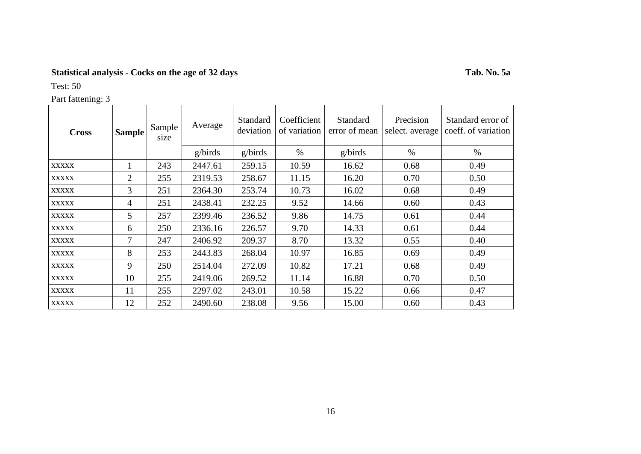# **Statistical analysis - Cocks on the age of 32 days Tab. No. 5a**

Test: 50

| Part fattening: 3 |               |                |         |                       |                             |                           |                              |                                          |  |  |  |  |
|-------------------|---------------|----------------|---------|-----------------------|-----------------------------|---------------------------|------------------------------|------------------------------------------|--|--|--|--|
| <b>Cross</b>      | <b>Sample</b> | Sample<br>size | Average | Standard<br>deviation | Coefficient<br>of variation | Standard<br>error of mean | Precision<br>select. average | Standard error of<br>coeff. of variation |  |  |  |  |
|                   |               |                | g/birds | g/birds               | $\%$                        | g/birds                   | $\%$                         | $\%$                                     |  |  |  |  |
| <b>XXXXX</b>      |               | 243            | 2447.61 | 259.15                | 10.59                       | 16.62                     | 0.68                         | 0.49                                     |  |  |  |  |
| <b>XXXXX</b>      | 2             | 255            | 2319.53 | 258.67                | 11.15                       | 16.20                     | 0.70                         | 0.50                                     |  |  |  |  |
| <b>XXXXX</b>      | 3             | 251            | 2364.30 | 253.74                | 10.73                       | 16.02                     | 0.68                         | 0.49                                     |  |  |  |  |
| <b>XXXXX</b>      | 4             | 251            | 2438.41 | 232.25                | 9.52                        | 14.66                     | 0.60                         | 0.43                                     |  |  |  |  |
| <b>XXXXX</b>      | 5             | 257            | 2399.46 | 236.52                | 9.86                        | 14.75                     | 0.61                         | 0.44                                     |  |  |  |  |
| <b>XXXXX</b>      | 6             | 250            | 2336.16 | 226.57                | 9.70                        | 14.33                     | 0.61                         | 0.44                                     |  |  |  |  |
| <b>XXXXX</b>      | 7             | 247            | 2406.92 | 209.37                | 8.70                        | 13.32                     | 0.55                         | 0.40                                     |  |  |  |  |
| <b>XXXXX</b>      | 8             | 253            | 2443.83 | 268.04                | 10.97                       | 16.85                     | 0.69                         | 0.49                                     |  |  |  |  |
| <b>XXXXX</b>      | 9             | 250            | 2514.04 | 272.09                | 10.82                       | 17.21                     | 0.68                         | 0.49                                     |  |  |  |  |
| <b>XXXXX</b>      | 10            | 255            | 2419.06 | 269.52                | 11.14                       | 16.88                     | 0.70                         | 0.50                                     |  |  |  |  |
| <b>XXXXX</b>      | 11            | 255            | 2297.02 | 243.01                | 10.58                       | 15.22                     | 0.66                         | 0.47                                     |  |  |  |  |
| <b>XXXXX</b>      | 12            | 252            | 2490.60 | 238.08                | 9.56                        | 15.00                     | 0.60                         | 0.43                                     |  |  |  |  |